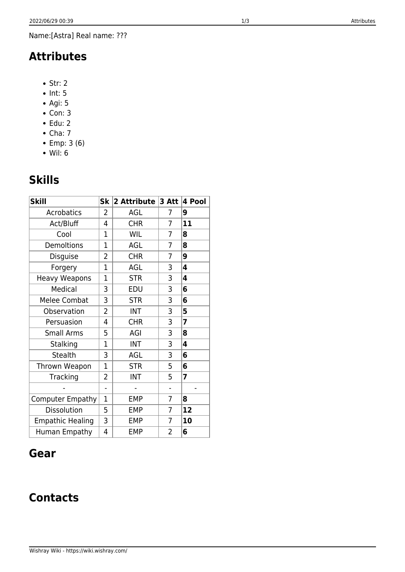Name:[Astra] Real name: ???

## **Attributes**

- $\bullet$  Str: 2
- $\bullet$  Int: 5
- Agi: 5
- Con: 3  $\bullet$  Edu: 2
- $\bullet$  Cha: 7
- Emp: 3 (6)
- Wil: 6

# **Skills**

| <b>Skill</b>            | <b>Sk</b>                | 2 Attribute | $3$ Att                  | 4 Pool |
|-------------------------|--------------------------|-------------|--------------------------|--------|
| Acrobatics              | 2                        | AGL         | 7                        | 9      |
| Act/Bluff               | 4                        | <b>CHR</b>  | 7                        | 11     |
| Cool                    | 1                        | WIL         | 7                        | 8      |
| <b>Demoltions</b>       | 1                        | AGL         | 7                        | 8      |
| Disguise                | 2                        | <b>CHR</b>  | 7                        | 9      |
| Forgery                 | $\overline{1}$           | AGL         | 3                        | 4      |
| <b>Heavy Weapons</b>    | 1                        | <b>STR</b>  | 3                        | 4      |
| Medical                 | 3                        | EDU         | 3                        | 6      |
| Melee Combat            | 3                        | <b>STR</b>  | 3                        | 6      |
| Observation             | 2                        | <b>INT</b>  | 3                        | 5      |
| Persuasion              | 4                        | <b>CHR</b>  | 3                        | 7      |
| <b>Small Arms</b>       | 5                        | AGI         | 3                        | 8      |
| Stalking                | $\mathbf 1$              | <b>INT</b>  | 3                        | 4      |
| <b>Stealth</b>          | 3                        | AGL         | 3                        | 6      |
| Thrown Weapon           | 1                        | <b>STR</b>  | 5                        | 6      |
| Tracking                | $\overline{2}$           | <b>INT</b>  | 5                        | 7      |
|                         | $\overline{\phantom{0}}$ |             | $\overline{\phantom{0}}$ |        |
| <b>Computer Empathy</b> | $\overline{1}$           | <b>EMP</b>  | 7                        | 8      |
| <b>Dissolution</b>      | 5                        | <b>EMP</b>  | 7                        | 12     |
| <b>Empathic Healing</b> | 3                        | <b>EMP</b>  | $\overline{7}$           | 10     |
| Human Empathy           | 4                        | <b>EMP</b>  | 2                        | 6      |

## **Gear**

## **Contacts**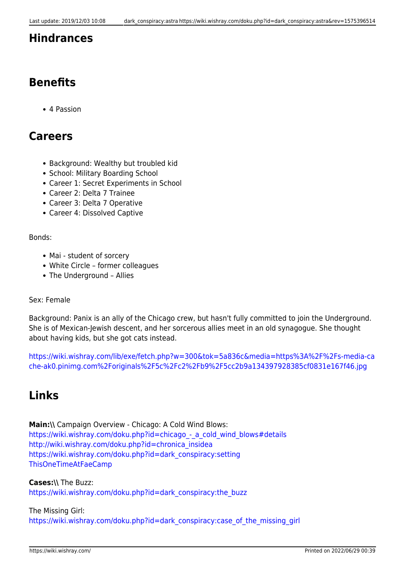### **Hindrances**

## **Benefits**

4 Passion

### **Careers**

- Background: Wealthy but troubled kid
- School: Military Boarding School
- Career 1: Secret Experiments in School
- Career 2: Delta 7 Trainee
- Career 3: Delta 7 Operative
- Career 4: Dissolved Captive

Bonds:

- Mai student of sorcery
- White Circle former colleagues
- The Underground Allies

#### Sex: Female

Background: Panix is an ally of the Chicago crew, but hasn't fully committed to join the Underground. She is of Mexican-Jewish descent, and her sorcerous allies meet in an old synagogue. She thought about having kids, but she got cats instead.

[https://wiki.wishray.com/lib/exe/fetch.php?w=300&tok=5a836c&media=https%3A%2F%2Fs-media-ca](https://wiki.wishray.com/lib/exe/fetch.php?w=300&tok=5a836c&media=https%3A%2F%2Fs-media-cache-ak0.pinimg.com%2Foriginals%2F5c%2Fc2%2Fb9%2F5cc2b9a134397928385cf0831e167f46.jpg) [che-ak0.pinimg.com%2Foriginals%2F5c%2Fc2%2Fb9%2F5cc2b9a134397928385cf0831e167f46.jpg](https://wiki.wishray.com/lib/exe/fetch.php?w=300&tok=5a836c&media=https%3A%2F%2Fs-media-cache-ak0.pinimg.com%2Foriginals%2F5c%2Fc2%2Fb9%2F5cc2b9a134397928385cf0831e167f46.jpg)

## **Links**

```
Main:\\ Campaign Overview - Chicago: A Cold Wind Blows:
https://wiki.wishray.com/doku.php?id=chicago - a cold wind blows#details
http://wiki.wishray.com/doku.php?id=chronica_insidea
https://wiki.wishray.com/doku.php?id=dark_conspiracy:setting
ThisOneTimeAtFaeCamp
```
### **Cases:\\** The Buzz:

[https://wiki.wishray.com/doku.php?id=dark\\_conspiracy:the\\_buzz](https://wiki.wishray.com/doku.php?id=dark_conspiracy:the_buzz)

#### The Missing Girl:

[https://wiki.wishray.com/doku.php?id=dark\\_conspiracy:case\\_of\\_the\\_missing\\_girl](https://wiki.wishray.com/doku.php?id=dark_conspiracy:case_of_the_missing_girl)